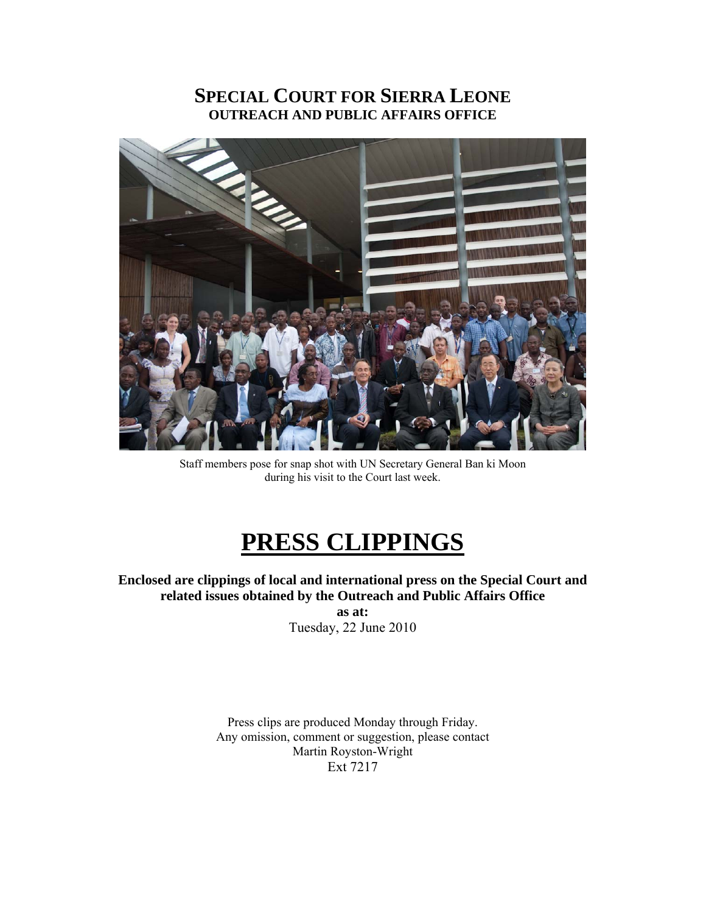## **SPECIAL COURT FOR SIERRA LEONE OUTREACH AND PUBLIC AFFAIRS OFFICE**



Staff members pose for snap shot with UN Secretary General Ban ki Moon during his visit to the Court last week.

# **PRESS CLIPPINGS**

**Enclosed are clippings of local and international press on the Special Court and related issues obtained by the Outreach and Public Affairs Office** 

**as at:**  Tuesday, 22 June 2010

Press clips are produced Monday through Friday. Any omission, comment or suggestion, please contact Martin Royston-Wright Ext 7217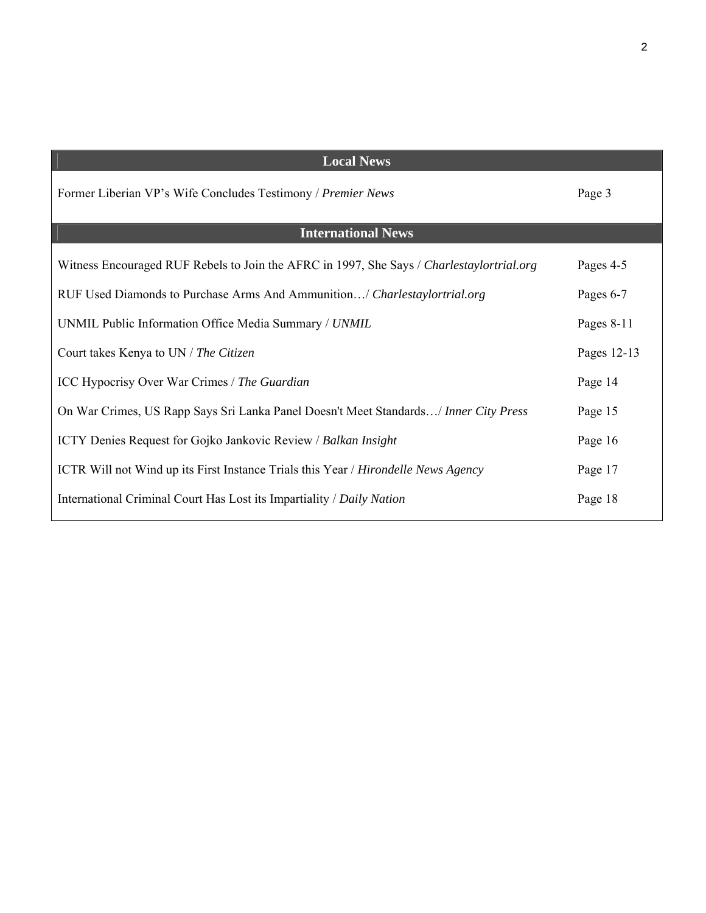| <b>Local News</b>                                                                         |             |
|-------------------------------------------------------------------------------------------|-------------|
| Former Liberian VP's Wife Concludes Testimony / Premier News                              | Page 3      |
| <b>International News</b>                                                                 |             |
| Witness Encouraged RUF Rebels to Join the AFRC in 1997, She Says / Charlestaylortrial.org | Pages 4-5   |
| RUF Used Diamonds to Purchase Arms And Ammunition/ Charlestaylortrial.org                 | Pages 6-7   |
| UNMIL Public Information Office Media Summary / UNMIL                                     | Pages 8-11  |
| Court takes Kenya to UN / The Citizen                                                     | Pages 12-13 |
| ICC Hypocrisy Over War Crimes / The Guardian                                              | Page 14     |
| On War Crimes, US Rapp Says Sri Lanka Panel Doesn't Meet Standards/ Inner City Press      | Page 15     |
| ICTY Denies Request for Gojko Jankovic Review / Balkan Insight                            | Page 16     |
| ICTR Will not Wind up its First Instance Trials this Year / Hirondelle News Agency        | Page 17     |
| International Criminal Court Has Lost its Impartiality / Daily Nation                     | Page 18     |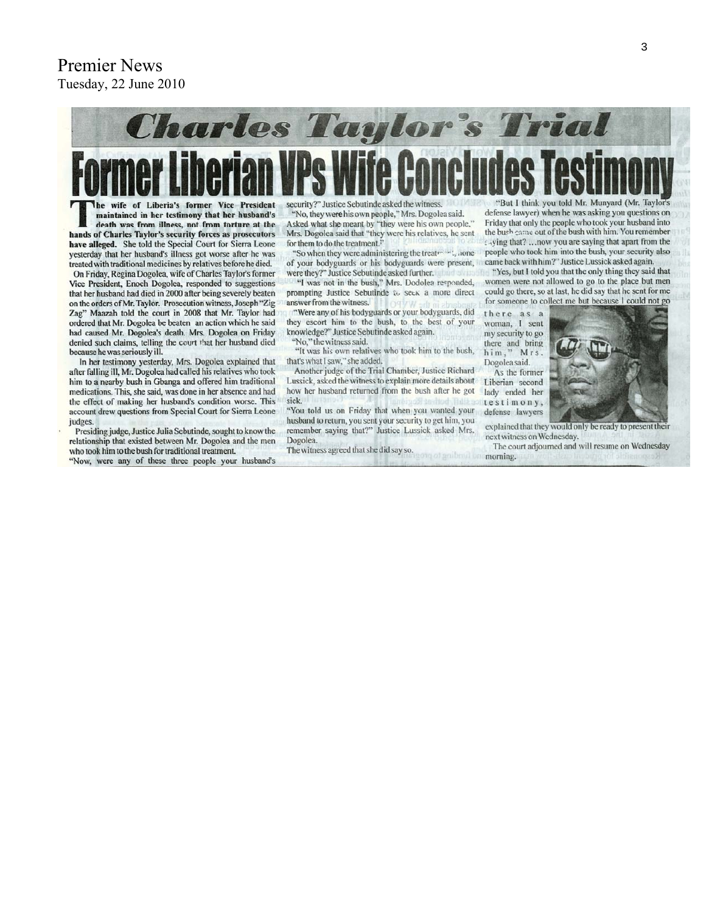## Premier News Tuesday, 22 June 2010



wife of Liberia's former Vice President maintained in her testimony that her husband's death was from illness, not from torture at the hands of Charles Taylor's security forces as prosecutors have alleged. She told the Special Court for Sierra Leone yesterday that her husband's illness got worse after he was treated with traditional medicines by relatives before he died.

On Friday, Regina Dogolea, wife of Charles Taylor's former Vice President, Enoch Dogolea, responded to suggestions that her husband had died in 2000 after being severely beaten on the orders of Mr. Taylor. Prosecution witness, Joseph "Zig Zag" Maazah told the court in 2008 that Mr. Taylor had ordered that Mr. Dogolea be beaten an action which he said had caused Mr. Dogolea's death. Mrs. Dogolea on Friday denied such claims, telling the court that her husband died because he was seriously ill.

In her testimony yesterday, Mrs. Dogolea explained that after falling ill, Mr. Dogolea had called his relatives who took him to a nearby bush in Gbanga and offered him traditional medications. This, she said, was done in her absence and had the effect of making her husband's condition worse. This account drew questions from Special Court for Sierra Leone judges.

Presiding judge, Justice Julia Sebutinde, sought to know the relationship that existed between Mr. Dogolea and the men who took him to the bush for traditional treatment.

"Now, were any of these three people your husband's

security?" Justice Sebutinde asked the witness.

"No, they were his own people," Mrs. Dogolea said. Asked what she meant by "they were his own people," Mrs. Dogolea said that "they were his relatives, he sent for them to do the treatment."

"So when they were administering the treatresset, hone of your bodyguards or his bodyguards were present, were they?" Justice Sebutinde asked further.

"I was not in the bush," Mrs. Dodolea responded, prompting Justice Sebutinde & seck a more direct answer from the witness.

"Were any of his bodyguards or your bodyguards, did they escort him to the bush, to the best of your knowledge?" Justice Sebutinde asked again. "No," the witness said.

"It was his own relatives who took him to the bush, that's what I saw," she added.

Another judge of the Trial Chamber, Justice Richard Lussick, asked the witness to explain more details about how her husband returned from the bush after he got sick "You told us on Friday that when you wanted your

husband to return, you sent your security to get him, you remember saying that?" Justice Lussick asked Mrs. Dogolea.

The witness agreed that she did say so.

"But I think you told Mr. Munyard (Mr. Taylor defense lawyer) when he was asking you questions on Friday that only the people who took your husband into the bush came out of the bush with him. You remember saying that? ... now you are saying that apart from the people who took him into the bush, your security also

came back with him?" Justice Lussick asked again. "Yes, but I told you that the only thing they said that women were not allowed to go to the place but men could go there, so at last, he did say that he sent for me for someone to collect me but because I could not go

there as a woman, I sent my security to go there and bring<br>h i m, " M r s. Dogolea said.

As the former Liberian second lady ended her testimony, defense lawyers

explained that they would only be ready to present their next witness on Wednesday.

The court adjourned and will resume on Wednesday morning.

3

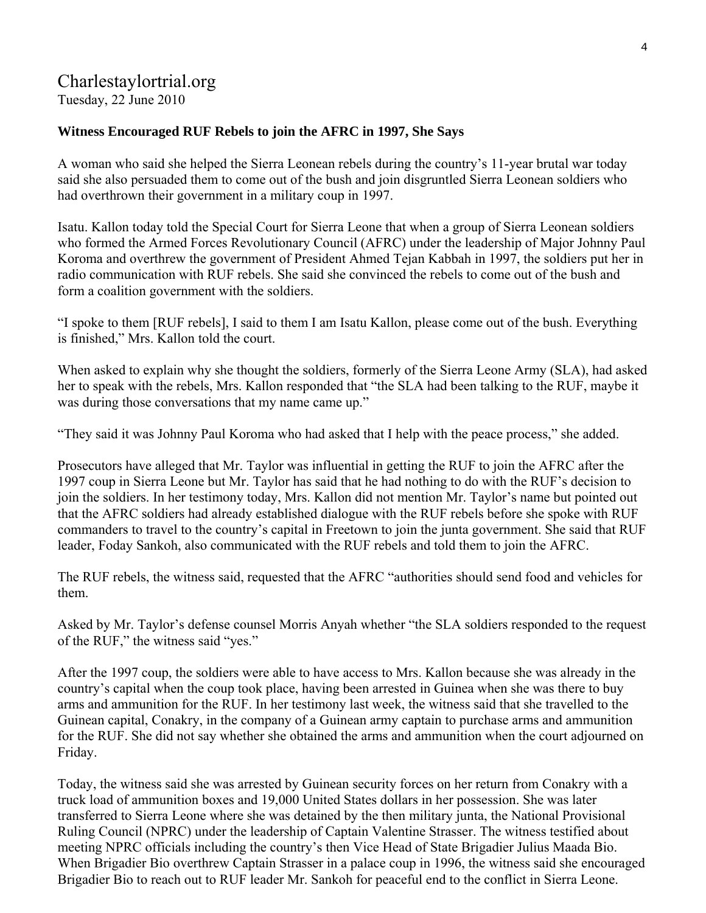## Charlestaylortrial.org

Tuesday, 22 June 2010

### **Witness Encouraged RUF Rebels to join the AFRC in 1997, She Says**

A woman who said she helped the Sierra Leonean rebels during the country's 11-year brutal war today said she also persuaded them to come out of the bush and join disgruntled Sierra Leonean soldiers who had overthrown their government in a military coup in 1997.

Isatu. Kallon today told the Special Court for Sierra Leone that when a group of Sierra Leonean soldiers who formed the Armed Forces Revolutionary Council (AFRC) under the leadership of Major Johnny Paul Koroma and overthrew the government of President Ahmed Tejan Kabbah in 1997, the soldiers put her in radio communication with RUF rebels. She said she convinced the rebels to come out of the bush and form a coalition government with the soldiers.

"I spoke to them [RUF rebels], I said to them I am Isatu Kallon, please come out of the bush. Everything is finished," Mrs. Kallon told the court.

When asked to explain why she thought the soldiers, formerly of the Sierra Leone Army (SLA), had asked her to speak with the rebels, Mrs. Kallon responded that "the SLA had been talking to the RUF, maybe it was during those conversations that my name came up."

"They said it was Johnny Paul Koroma who had asked that I help with the peace process," she added.

Prosecutors have alleged that Mr. Taylor was influential in getting the RUF to join the AFRC after the 1997 coup in Sierra Leone but Mr. Taylor has said that he had nothing to do with the RUF's decision to join the soldiers. In her testimony today, Mrs. Kallon did not mention Mr. Taylor's name but pointed out that the AFRC soldiers had already established dialogue with the RUF rebels before she spoke with RUF commanders to travel to the country's capital in Freetown to join the junta government. She said that RUF leader, Foday Sankoh, also communicated with the RUF rebels and told them to join the AFRC.

The RUF rebels, the witness said, requested that the AFRC "authorities should send food and vehicles for them.

Asked by Mr. Taylor's defense counsel Morris Anyah whether "the SLA soldiers responded to the request of the RUF," the witness said "yes."

After the 1997 coup, the soldiers were able to have access to Mrs. Kallon because she was already in the country's capital when the coup took place, having been arrested in Guinea when she was there to buy arms and ammunition for the RUF. In her testimony last week, the witness said that she travelled to the Guinean capital, Conakry, in the company of a Guinean army captain to purchase arms and ammunition for the RUF. She did not say whether she obtained the arms and ammunition when the court adjourned on Friday.

Today, the witness said she was arrested by Guinean security forces on her return from Conakry with a truck load of ammunition boxes and 19,000 United States dollars in her possession. She was later transferred to Sierra Leone where she was detained by the then military junta, the National Provisional Ruling Council (NPRC) under the leadership of Captain Valentine Strasser. The witness testified about meeting NPRC officials including the country's then Vice Head of State Brigadier Julius Maada Bio. When Brigadier Bio overthrew Captain Strasser in a palace coup in 1996, the witness said she encouraged Brigadier Bio to reach out to RUF leader Mr. Sankoh for peaceful end to the conflict in Sierra Leone.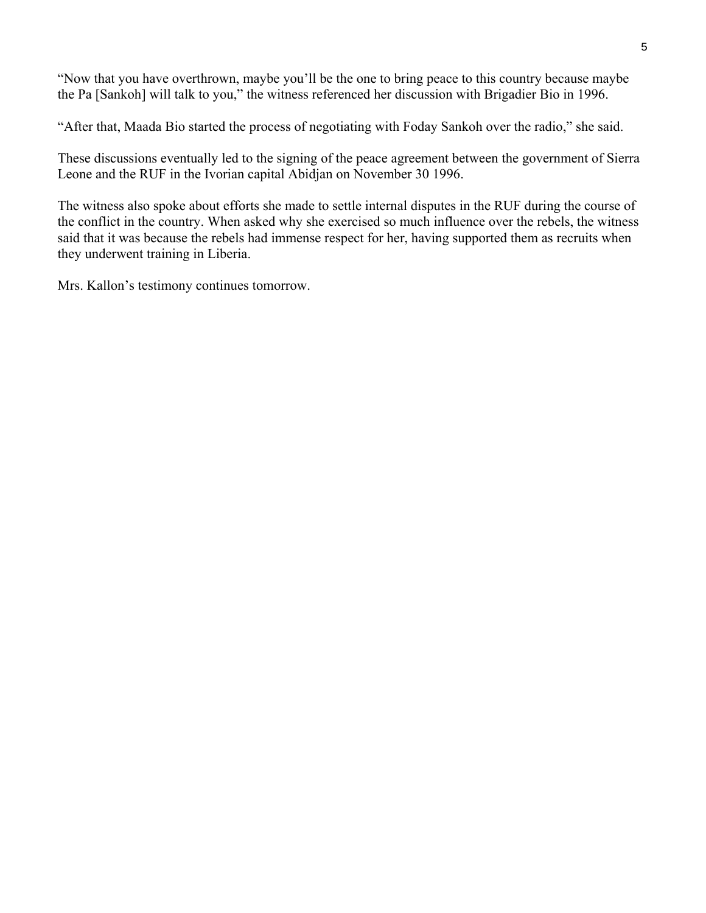"Now that you have overthrown, maybe you'll be the one to bring peace to this country because maybe the Pa [Sankoh] will talk to you," the witness referenced her discussion with Brigadier Bio in 1996.

"After that, Maada Bio started the process of negotiating with Foday Sankoh over the radio," she said.

These discussions eventually led to the signing of the peace agreement between the government of Sierra Leone and the RUF in the Ivorian capital Abidjan on November 30 1996.

The witness also spoke about efforts she made to settle internal disputes in the RUF during the course of the conflict in the country. When asked why she exercised so much influence over the rebels, the witness said that it was because the rebels had immense respect for her, having supported them as recruits when they underwent training in Liberia.

Mrs. Kallon's testimony continues tomorrow.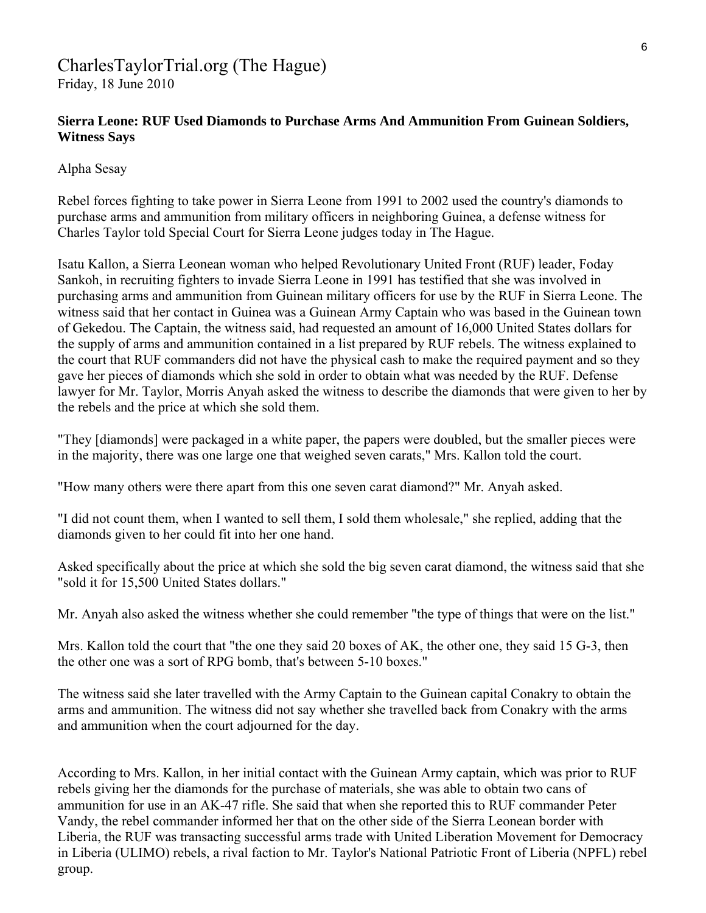## CharlesTaylorTrial.org (The Hague)

Friday, 18 June 2010

## **Sierra Leone: RUF Used Diamonds to Purchase Arms And Ammunition From Guinean Soldiers, Witness Says**

Alpha Sesay

Rebel forces fighting to take power in Sierra Leone from 1991 to 2002 used the country's diamonds to purchase arms and ammunition from military officers in neighboring Guinea, a defense witness for Charles Taylor told Special Court for Sierra Leone judges today in The Hague.

Isatu Kallon, a Sierra Leonean woman who helped Revolutionary United Front (RUF) leader, Foday Sankoh, in recruiting fighters to invade Sierra Leone in 1991 has testified that she was involved in purchasing arms and ammunition from Guinean military officers for use by the RUF in Sierra Leone. The witness said that her contact in Guinea was a Guinean Army Captain who was based in the Guinean town of Gekedou. The Captain, the witness said, had requested an amount of 16,000 United States dollars for the supply of arms and ammunition contained in a list prepared by RUF rebels. The witness explained to the court that RUF commanders did not have the physical cash to make the required payment and so they gave her pieces of diamonds which she sold in order to obtain what was needed by the RUF. Defense lawyer for Mr. Taylor, Morris Anyah asked the witness to describe the diamonds that were given to her by the rebels and the price at which she sold them.

"They [diamonds] were packaged in a white paper, the papers were doubled, but the smaller pieces were in the majority, there was one large one that weighed seven carats," Mrs. Kallon told the court.

"How many others were there apart from this one seven carat diamond?" Mr. Anyah asked.

"I did not count them, when I wanted to sell them, I sold them wholesale," she replied, adding that the diamonds given to her could fit into her one hand.

Asked specifically about the price at which she sold the big seven carat diamond, the witness said that she "sold it for 15,500 United States dollars."

Mr. Anyah also asked the witness whether she could remember "the type of things that were on the list."

Mrs. Kallon told the court that "the one they said 20 boxes of AK, the other one, they said 15 G-3, then the other one was a sort of RPG bomb, that's between 5-10 boxes."

The witness said she later travelled with the Army Captain to the Guinean capital Conakry to obtain the arms and ammunition. The witness did not say whether she travelled back from Conakry with the arms and ammunition when the court adjourned for the day.

According to Mrs. Kallon, in her initial contact with the Guinean Army captain, which was prior to RUF rebels giving her the diamonds for the purchase of materials, she was able to obtain two cans of ammunition for use in an AK-47 rifle. She said that when she reported this to RUF commander Peter Vandy, the rebel commander informed her that on the other side of the Sierra Leonean border with Liberia, the RUF was transacting successful arms trade with United Liberation Movement for Democracy in Liberia (ULIMO) rebels, a rival faction to Mr. Taylor's National Patriotic Front of Liberia (NPFL) rebel group.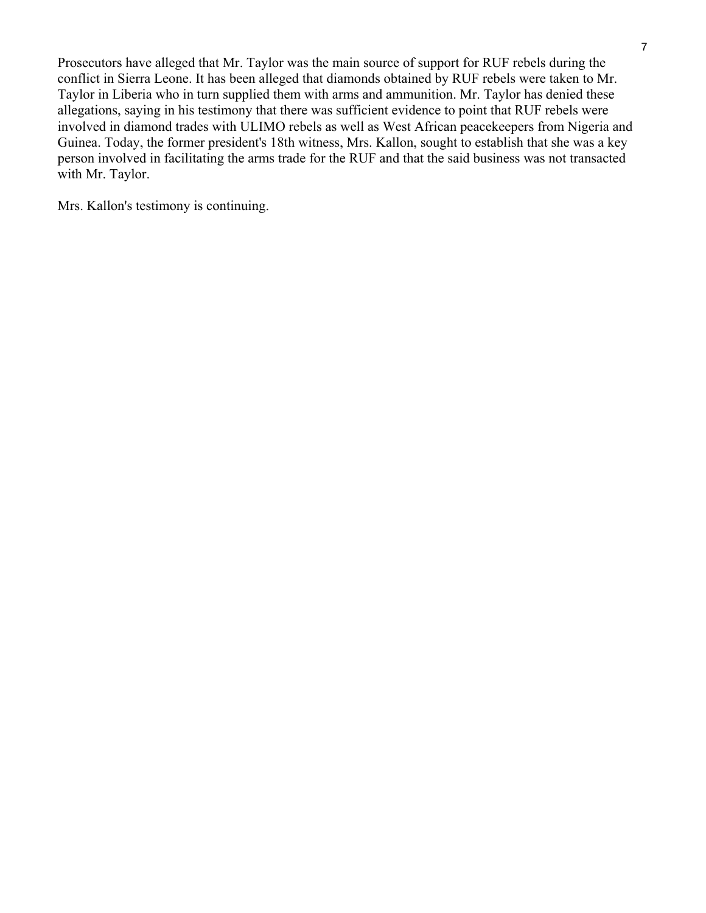Prosecutors have alleged that Mr. Taylor was the main source of support for RUF rebels during the conflict in Sierra Leone. It has been alleged that diamonds obtained by RUF rebels were taken to Mr. Taylor in Liberia who in turn supplied them with arms and ammunition. Mr. Taylor has denied these allegations, saying in his testimony that there was sufficient evidence to point that RUF rebels were involved in diamond trades with ULIMO rebels as well as West African peacekeepers from Nigeria and Guinea. Today, the former president's 18th witness, Mrs. Kallon, sought to establish that she was a key person involved in facilitating the arms trade for the RUF and that the said business was not transacted with Mr. Taylor.

Mrs. Kallon's testimony is continuing.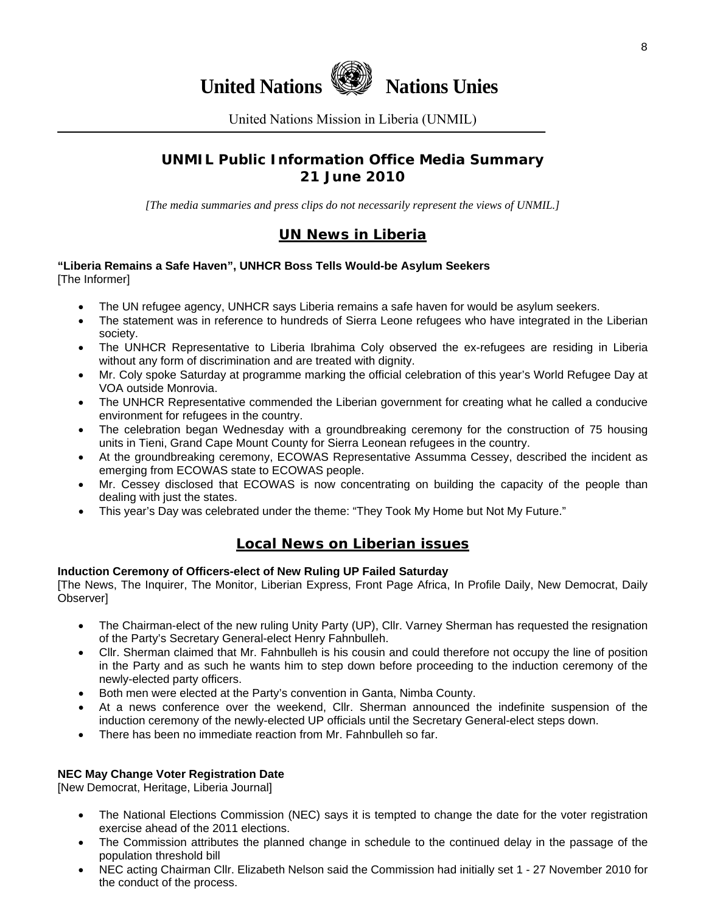

United Nations Mission in Liberia (UNMIL)

## **UNMIL Public Information Office Media Summary 21 June 2010**

*[The media summaries and press clips do not necessarily represent the views of UNMIL.]* 

## **UN News in Liberia**

#### **"Liberia Remains a Safe Haven", UNHCR Boss Tells Would-be Asylum Seekers**  [The Informer]

- The UN refugee agency, UNHCR says Liberia remains a safe haven for would be asylum seekers.
- The statement was in reference to hundreds of Sierra Leone refugees who have integrated in the Liberian society.
- The UNHCR Representative to Liberia Ibrahima Coly observed the ex-refugees are residing in Liberia without any form of discrimination and are treated with dignity.
- Mr. Coly spoke Saturday at programme marking the official celebration of this year's World Refugee Day at VOA outside Monrovia.
- The UNHCR Representative commended the Liberian government for creating what he called a conducive environment for refugees in the country.
- The celebration began Wednesday with a groundbreaking ceremony for the construction of 75 housing units in Tieni, Grand Cape Mount County for Sierra Leonean refugees in the country.
- At the groundbreaking ceremony, ECOWAS Representative Assumma Cessey, described the incident as emerging from ECOWAS state to ECOWAS people.
- Mr. Cessey disclosed that ECOWAS is now concentrating on building the capacity of the people than dealing with just the states.
- This year's Day was celebrated under the theme: "They Took My Home but Not My Future."

## **Local News on Liberian issues**

#### **Induction Ceremony of Officers-elect of New Ruling UP Failed Saturday**

[The News, The Inquirer, The Monitor, Liberian Express, Front Page Africa, In Profile Daily, New Democrat, Daily **Observerl** 

- The Chairman-elect of the new ruling Unity Party (UP), Cllr. Varney Sherman has requested the resignation of the Party's Secretary General-elect Henry Fahnbulleh.
- Cllr. Sherman claimed that Mr. Fahnbulleh is his cousin and could therefore not occupy the line of position in the Party and as such he wants him to step down before proceeding to the induction ceremony of the newly-elected party officers.
- Both men were elected at the Party's convention in Ganta, Nimba County.
- At a news conference over the weekend, Cllr. Sherman announced the indefinite suspension of the induction ceremony of the newly-elected UP officials until the Secretary General-elect steps down.
- There has been no immediate reaction from Mr. Fahnbulleh so far.

#### **NEC May Change Voter Registration Date**

[New Democrat, Heritage, Liberia Journal]

- The National Elections Commission (NEC) says it is tempted to change the date for the voter registration exercise ahead of the 2011 elections.
- The Commission attributes the planned change in schedule to the continued delay in the passage of the population threshold bill
- NEC acting Chairman Cllr. Elizabeth Nelson said the Commission had initially set 1 27 November 2010 for the conduct of the process.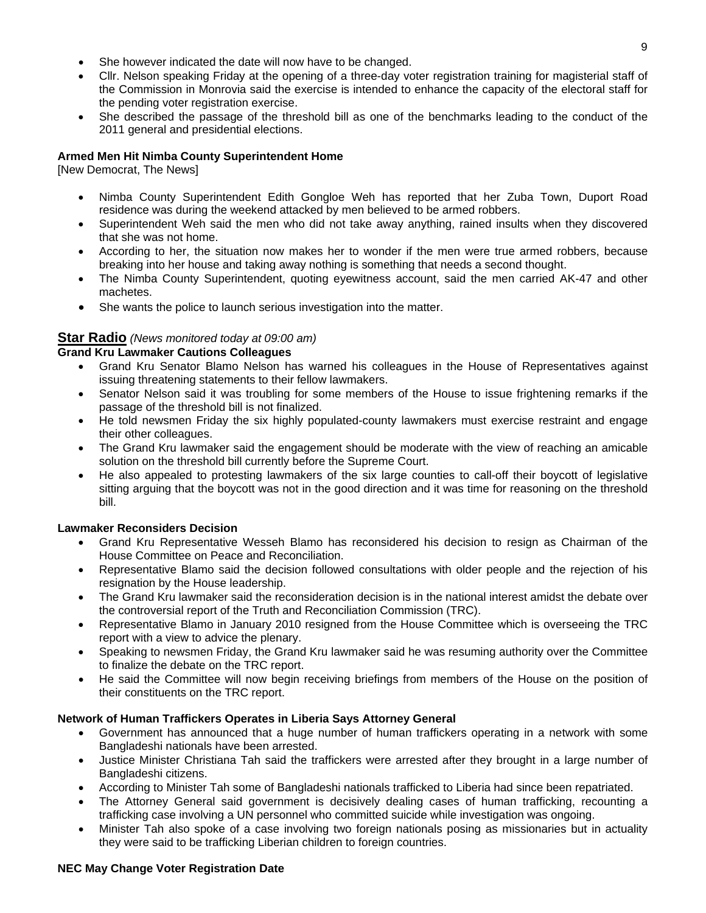- She however indicated the date will now have to be changed.
- Cllr. Nelson speaking Friday at the opening of a three-day voter registration training for magisterial staff of the Commission in Monrovia said the exercise is intended to enhance the capacity of the electoral staff for the pending voter registration exercise.
- She described the passage of the threshold bill as one of the benchmarks leading to the conduct of the 2011 general and presidential elections.

#### **Armed Men Hit Nimba County Superintendent Home**

[New Democrat, The News]

- Nimba County Superintendent Edith Gongloe Weh has reported that her Zuba Town, Duport Road residence was during the weekend attacked by men believed to be armed robbers.
- Superintendent Weh said the men who did not take away anything, rained insults when they discovered that she was not home.
- According to her, the situation now makes her to wonder if the men were true armed robbers, because breaking into her house and taking away nothing is something that needs a second thought.
- The Nimba County Superintendent, quoting eyewitness account, said the men carried AK-47 and other machetes.
- She wants the police to launch serious investigation into the matter.

#### **Star Radio** *(News monitored today at 09:00 am)*

#### **Grand Kru Lawmaker Cautions Colleagues**

- Grand Kru Senator Blamo Nelson has warned his colleagues in the House of Representatives against issuing threatening statements to their fellow lawmakers.
- Senator Nelson said it was troubling for some members of the House to issue frightening remarks if the passage of the threshold bill is not finalized.
- He told newsmen Friday the six highly populated-county lawmakers must exercise restraint and engage their other colleagues.
- The Grand Kru lawmaker said the engagement should be moderate with the view of reaching an amicable solution on the threshold bill currently before the Supreme Court.
- He also appealed to protesting lawmakers of the six large counties to call-off their boycott of legislative sitting arguing that the boycott was not in the good direction and it was time for reasoning on the threshold bill.

#### **Lawmaker Reconsiders Decision**

- Grand Kru Representative Wesseh Blamo has reconsidered his decision to resign as Chairman of the House Committee on Peace and Reconciliation.
- Representative Blamo said the decision followed consultations with older people and the rejection of his resignation by the House leadership.
- The Grand Kru lawmaker said the reconsideration decision is in the national interest amidst the debate over the controversial report of the Truth and Reconciliation Commission (TRC).
- Representative Blamo in January 2010 resigned from the House Committee which is overseeing the TRC report with a view to advice the plenary.
- Speaking to newsmen Friday, the Grand Kru lawmaker said he was resuming authority over the Committee to finalize the debate on the TRC report.
- He said the Committee will now begin receiving briefings from members of the House on the position of their constituents on the TRC report.

#### **Network of Human Traffickers Operates in Liberia Says Attorney General**

- Government has announced that a huge number of human traffickers operating in a network with some Bangladeshi nationals have been arrested.
- Justice Minister Christiana Tah said the traffickers were arrested after they brought in a large number of Bangladeshi citizens.
- According to Minister Tah some of Bangladeshi nationals trafficked to Liberia had since been repatriated.
- The Attorney General said government is decisively dealing cases of human trafficking, recounting a trafficking case involving a UN personnel who committed suicide while investigation was ongoing.
- Minister Tah also spoke of a case involving two foreign nationals posing as missionaries but in actuality they were said to be trafficking Liberian children to foreign countries.

#### **NEC May Change Voter Registration Date**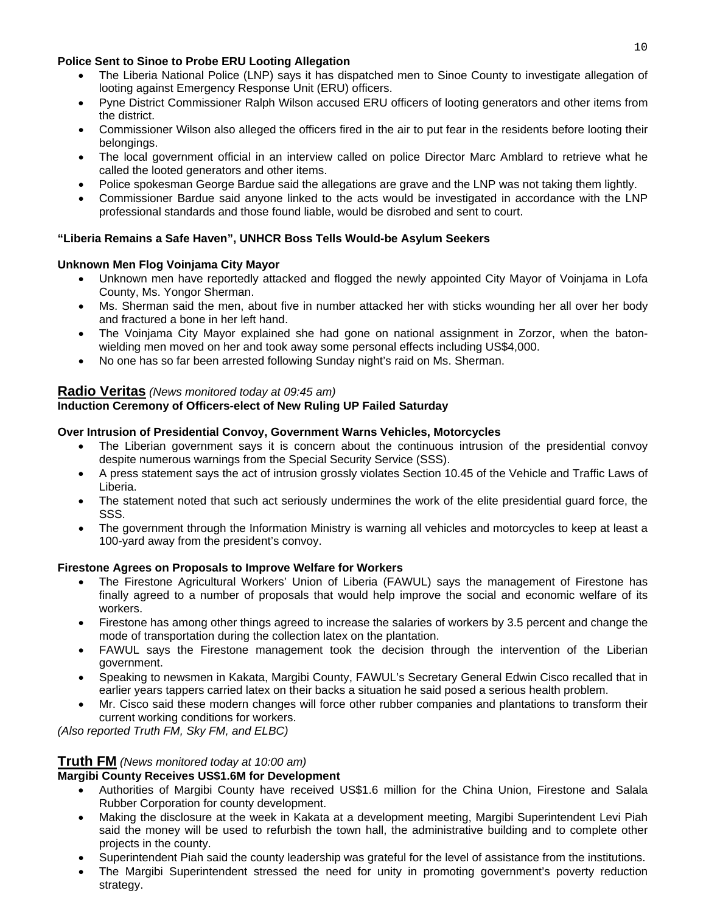#### **Police Sent to Sinoe to Probe ERU Looting Allegation**

- The Liberia National Police (LNP) says it has dispatched men to Sinoe County to investigate allegation of looting against Emergency Response Unit (ERU) officers.
- Pyne District Commissioner Ralph Wilson accused ERU officers of looting generators and other items from the district.
- Commissioner Wilson also alleged the officers fired in the air to put fear in the residents before looting their belongings.
- The local government official in an interview called on police Director Marc Amblard to retrieve what he called the looted generators and other items.
- Police spokesman George Bardue said the allegations are grave and the LNP was not taking them lightly.
- Commissioner Bardue said anyone linked to the acts would be investigated in accordance with the LNP professional standards and those found liable, would be disrobed and sent to court.

#### **"Liberia Remains a Safe Haven", UNHCR Boss Tells Would-be Asylum Seekers**

#### **Unknown Men Flog Voinjama City Mayor**

- Unknown men have reportedly attacked and flogged the newly appointed City Mayor of Voinjama in Lofa County, Ms. Yongor Sherman.
- Ms. Sherman said the men, about five in number attacked her with sticks wounding her all over her body and fractured a bone in her left hand.
- The Voinjama City Mayor explained she had gone on national assignment in Zorzor, when the batonwielding men moved on her and took away some personal effects including US\$4,000.
- No one has so far been arrested following Sunday night's raid on Ms. Sherman.

#### **Radio Veritas** *(News monitored today at 09:45 am)*  **Induction Ceremony of Officers-elect of New Ruling UP Failed Saturday**

#### **Over Intrusion of Presidential Convoy, Government Warns Vehicles, Motorcycles**

- The Liberian government says it is concern about the continuous intrusion of the presidential convoy despite numerous warnings from the Special Security Service (SSS).
- A press statement says the act of intrusion grossly violates Section 10.45 of the Vehicle and Traffic Laws of Liberia.
- The statement noted that such act seriously undermines the work of the elite presidential guard force, the SSS.
- The government through the Information Ministry is warning all vehicles and motorcycles to keep at least a 100-yard away from the president's convoy.

#### **Firestone Agrees on Proposals to Improve Welfare for Workers**

- The Firestone Agricultural Workers' Union of Liberia (FAWUL) says the management of Firestone has finally agreed to a number of proposals that would help improve the social and economic welfare of its workers.
- Firestone has among other things agreed to increase the salaries of workers by 3.5 percent and change the mode of transportation during the collection latex on the plantation.
- FAWUL says the Firestone management took the decision through the intervention of the Liberian government.
- Speaking to newsmen in Kakata, Margibi County, FAWUL's Secretary General Edwin Cisco recalled that in earlier years tappers carried latex on their backs a situation he said posed a serious health problem.
- Mr. Cisco said these modern changes will force other rubber companies and plantations to transform their current working conditions for workers.

*(Also reported Truth FM, Sky FM, and ELBC)*

#### **Truth FM** *(News monitored today at 10:00 am)*

#### **Margibi County Receives US\$1.6M for Development**

- Authorities of Margibi County have received US\$1.6 million for the China Union, Firestone and Salala Rubber Corporation for county development.
- Making the disclosure at the week in Kakata at a development meeting, Margibi Superintendent Levi Piah said the money will be used to refurbish the town hall, the administrative building and to complete other projects in the county.
- Superintendent Piah said the county leadership was grateful for the level of assistance from the institutions.
- The Margibi Superintendent stressed the need for unity in promoting government's poverty reduction strategy.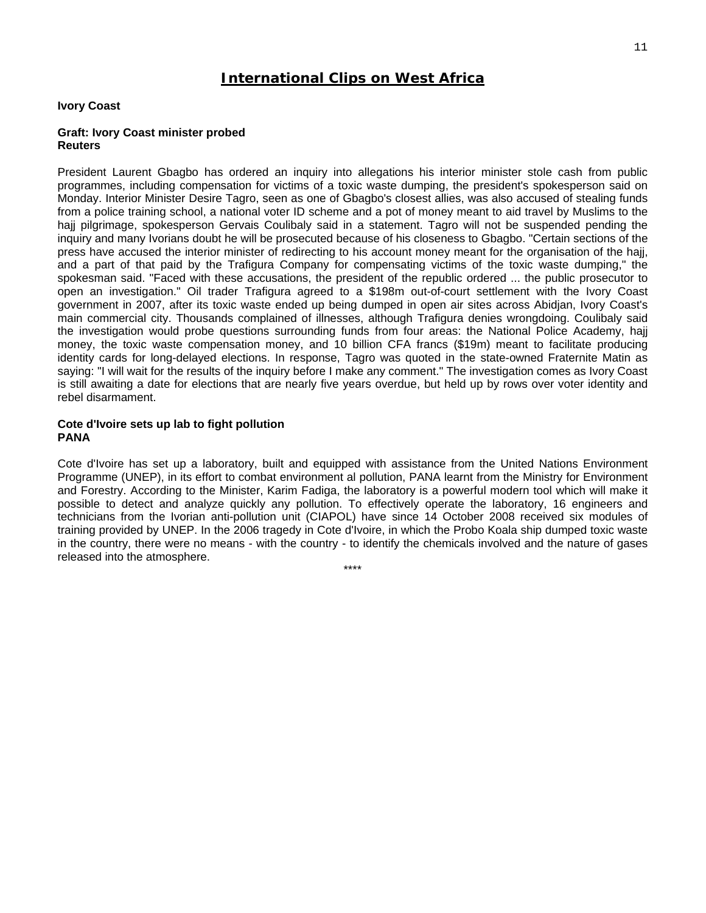#### **International Clips on West Africa**

#### **Ivory Coast**

#### **Graft: Ivory Coast minister probed Reuters**

President Laurent Gbagbo has ordered an inquiry into allegations his interior minister stole cash from public programmes, including compensation for victims of a toxic waste dumping, the president's spokesperson said on Monday. Interior Minister Desire Tagro, seen as one of Gbagbo's closest allies, was also accused of stealing funds from a police training school, a national voter ID scheme and a pot of money meant to aid travel by Muslims to the hajj pilgrimage, spokesperson Gervais Coulibaly said in a statement. Tagro will not be suspended pending the inquiry and many Ivorians doubt he will be prosecuted because of his closeness to Gbagbo. "Certain sections of the press have accused the interior minister of redirecting to his account money meant for the organisation of the hajj, and a part of that paid by the Trafigura Company for compensating victims of the toxic waste dumping," the spokesman said. "Faced with these accusations, the president of the republic ordered ... the public prosecutor to open an investigation." Oil trader Trafigura agreed to a \$198m out-of-court settlement with the Ivory Coast government in 2007, after its toxic waste ended up being dumped in open air sites across Abidjan, Ivory Coast's main commercial city. Thousands complained of illnesses, although Trafigura denies wrongdoing. Coulibaly said the investigation would probe questions surrounding funds from four areas: the National Police Academy, hajj money, the toxic waste compensation money, and 10 billion CFA francs (\$19m) meant to facilitate producing identity cards for long-delayed elections. In response, Tagro was quoted in the state-owned Fraternite Matin as saying: "I will wait for the results of the inquiry before I make any comment." The investigation comes as Ivory Coast is still awaiting a date for elections that are nearly five years overdue, but held up by rows over voter identity and rebel disarmament.

#### **Cote d'Ivoire sets up lab to fight pollution PANA**

Cote d'Ivoire has set up a laboratory, built and equipped with assistance from the United Nations Environment Programme (UNEP), in its effort to combat environment al pollution, PANA learnt from the Ministry for Environment and Forestry. According to the Minister, Karim Fadiga, the laboratory is a powerful modern tool which will make it possible to detect and analyze quickly any pollution. To effectively operate the laboratory, 16 engineers and technicians from the Ivorian anti-pollution unit (CIAPOL) have since 14 October 2008 received six modules of training provided by UNEP. In the 2006 tragedy in Cote d'Ivoire, in which the Probo Koala ship dumped toxic waste in the country, there were no means - with the country - to identify the chemicals involved and the nature of gases released into the atmosphere.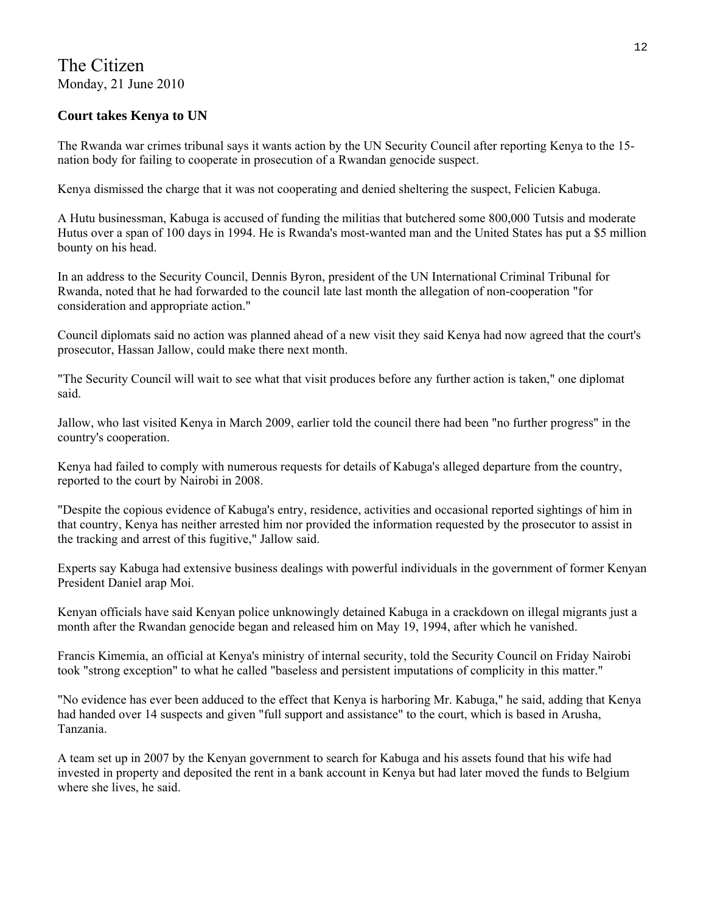## The Citizen Monday, 21 June 2010

## **Court takes Kenya to UN**

The Rwanda war crimes tribunal says it wants action by the UN Security Council after reporting Kenya to the 15 nation body for failing to cooperate in prosecution of a Rwandan genocide suspect.

Kenya dismissed the charge that it was not cooperating and denied sheltering the suspect, Felicien Kabuga.

A Hutu businessman, Kabuga is accused of funding the militias that butchered some 800,000 Tutsis and moderate Hutus over a span of 100 days in 1994. He is Rwanda's most-wanted man and the United States has put a \$5 million bounty on his head.

In an address to the Security Council, Dennis Byron, president of the UN International Criminal Tribunal for Rwanda, noted that he had forwarded to the council late last month the allegation of non-cooperation "for consideration and appropriate action."

Council diplomats said no action was planned ahead of a new visit they said Kenya had now agreed that the court's prosecutor, Hassan Jallow, could make there next month.

"The Security Council will wait to see what that visit produces before any further action is taken," one diplomat said.

Jallow, who last visited Kenya in March 2009, earlier told the council there had been "no further progress" in the country's cooperation.

Kenya had failed to comply with numerous requests for details of Kabuga's alleged departure from the country, reported to the court by Nairobi in 2008.

"Despite the copious evidence of Kabuga's entry, residence, activities and occasional reported sightings of him in that country, Kenya has neither arrested him nor provided the information requested by the prosecutor to assist in the tracking and arrest of this fugitive," Jallow said.

Experts say Kabuga had extensive business dealings with powerful individuals in the government of former Kenyan President Daniel arap Moi.

Kenyan officials have said Kenyan police unknowingly detained Kabuga in a crackdown on illegal migrants just a month after the Rwandan genocide began and released him on May 19, 1994, after which he vanished.

Francis Kimemia, an official at Kenya's ministry of internal security, told the Security Council on Friday Nairobi took "strong exception" to what he called "baseless and persistent imputations of complicity in this matter."

"No evidence has ever been adduced to the effect that Kenya is harboring Mr. Kabuga," he said, adding that Kenya had handed over 14 suspects and given "full support and assistance" to the court, which is based in Arusha, Tanzania.

A team set up in 2007 by the Kenyan government to search for Kabuga and his assets found that his wife had invested in property and deposited the rent in a bank account in Kenya but had later moved the funds to Belgium where she lives, he said.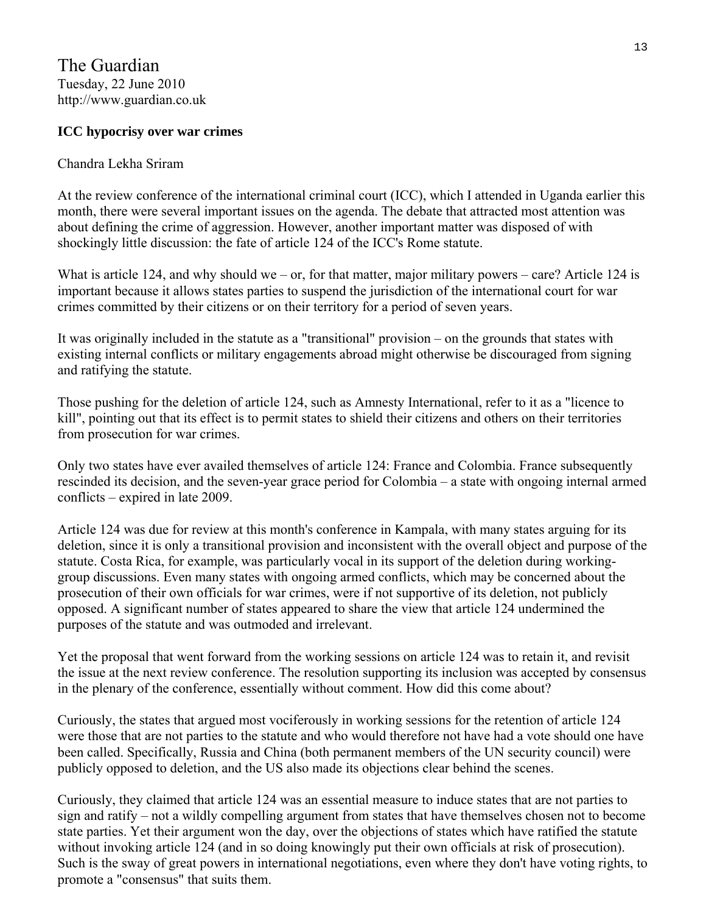#### **ICC hypocrisy over war crimes**

#### Chandra Lekha Sriram

At the review conference of the international criminal court (ICC), which I attended in Uganda earlier this month, there were several important issues on the agenda. The debate that attracted most attention was about defining the crime of aggression. However, another important matter was disposed of with shockingly little discussion: the fate of article 124 of the ICC's Rome statute.

What is article 124, and why should we – or, for that matter, major military powers – care? Article 124 is important because it allows states parties to suspend the jurisdiction of the international court for war crimes committed by their citizens or on their territory for a period of seven years.

It was originally included in the statute as a "transitional" provision – on the grounds that states with existing internal conflicts or military engagements abroad might otherwise be discouraged from signing and ratifying the statute.

Those pushing for the deletion of article 124, such as Amnesty International, refer to it as a "licence to kill", pointing out that its effect is to permit states to shield their citizens and others on their territories from prosecution for war crimes.

Only two states have ever availed themselves of article 124: France and Colombia. France subsequently rescinded its decision, and the seven-year grace period for Colombia – a state with ongoing internal armed conflicts – expired in late 2009.

Article 124 was due for review at this month's conference in Kampala, with many states arguing for its deletion, since it is only a transitional provision and inconsistent with the overall object and purpose of the statute. Costa Rica, for example, was particularly vocal in its support of the deletion during workinggroup discussions. Even many states with ongoing armed conflicts, which may be concerned about the prosecution of their own officials for war crimes, were if not supportive of its deletion, not publicly opposed. A significant number of states appeared to share the view that article 124 undermined the purposes of the statute and was outmoded and irrelevant.

Yet the proposal that went forward from the working sessions on article 124 was to retain it, and revisit the issue at the next review conference. The resolution supporting its inclusion was accepted by consensus in the plenary of the conference, essentially without comment. How did this come about?

Curiously, the states that argued most vociferously in working sessions for the retention of article 124 were those that are not parties to the statute and who would therefore not have had a vote should one have been called. Specifically, Russia and China (both permanent members of the UN security council) were publicly opposed to deletion, and the US also made its objections clear behind the scenes.

Curiously, they claimed that article 124 was an essential measure to induce states that are not parties to sign and ratify – not a wildly compelling argument from states that have themselves chosen not to become state parties. Yet their argument won the day, over the objections of states which have ratified the statute without invoking article 124 (and in so doing knowingly put their own officials at risk of prosecution). Such is the sway of great powers in international negotiations, even where they don't have voting rights, to promote a "consensus" that suits them.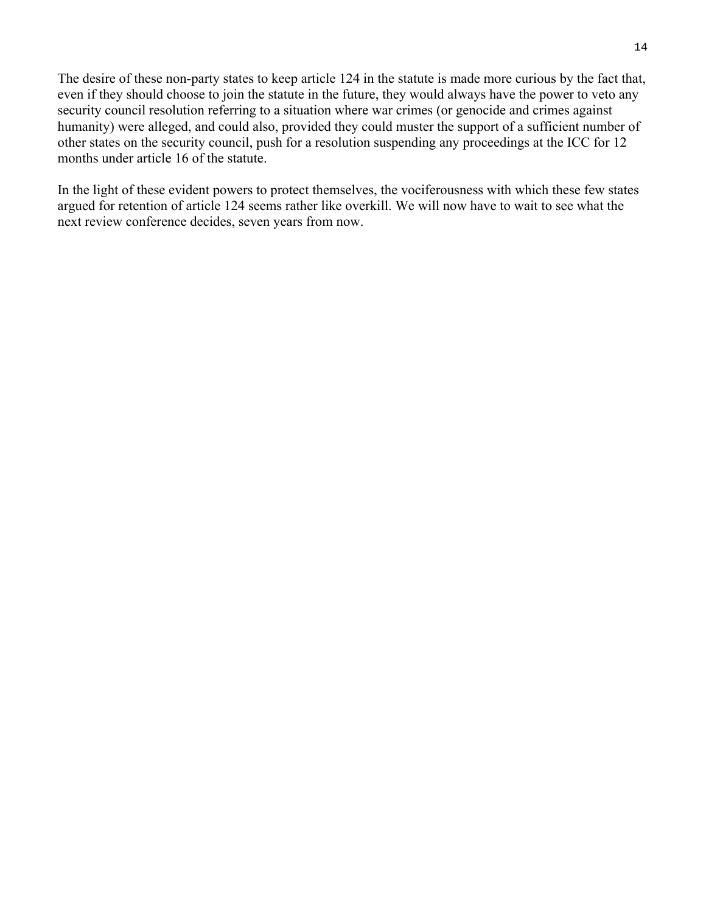The desire of these non-party states to keep article 124 in the statute is made more curious by the fact that, even if they should choose to join the statute in the future, they would always have the power to veto any security council resolution referring to a situation where war crimes (or genocide and crimes against humanity) were alleged, and could also, provided they could muster the support of a sufficient number of other states on the security council, push for a resolution suspending any proceedings at the ICC for 12 months under article 16 of the statute.

In the light of these evident powers to protect themselves, the vociferousness with which these few states argued for retention of article 124 seems rather like overkill. We will now have to wait to see what the next review conference decides, seven years from now.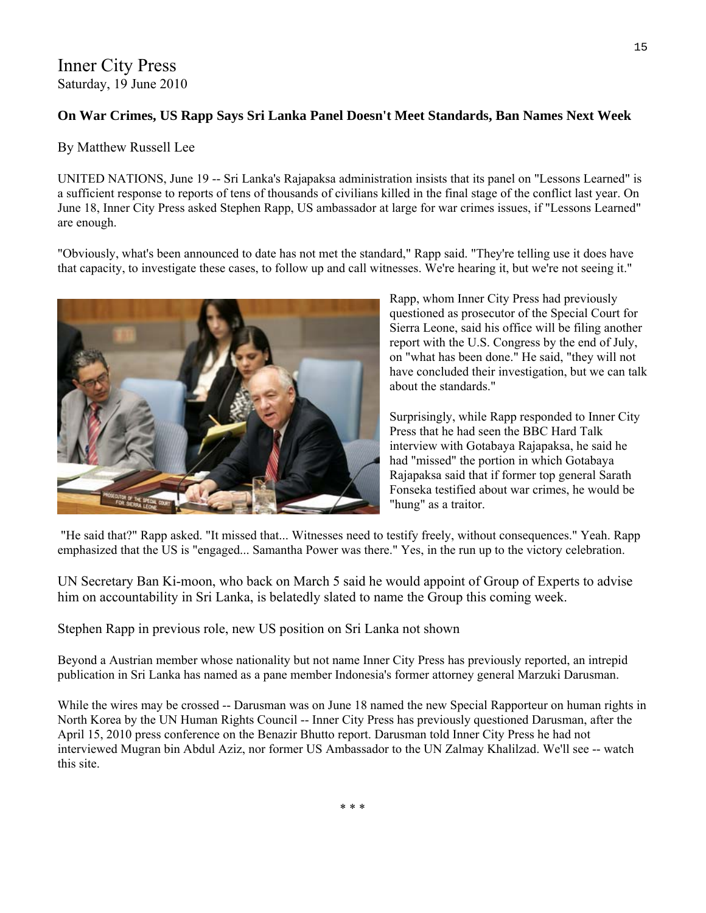## Inner City Press Saturday, 19 June 2010

## **On War Crimes, US Rapp Says Sri Lanka Panel Doesn't Meet Standards, Ban Names Next Week**

#### By Matthew Russell Lee

UNITED NATIONS, June 19 -- Sri Lanka's Rajapaksa administration insists that its [panel on "Lessons Learned" is](http://www.innercitypress.com/sri2bantor060710.html)  [a sufficient response to reports of tens of thousands of civilians killed in the final stage of the conflict last year.](http://www.innercitypress.com/sri2bantor060710.html) On June 18, Inner City Press asked Stephen Rapp, US ambassador at large for war crimes issues, if "Lessons Learned" are enough.

"Obviously, what's been announced to date has not met the standard," Rapp said. "They're telling use it does have that capacity, to investigate these cases, to follow up and call witnesses. We're hearing it, but we're not seeing it."



have concluded their investigation, but we can talk Rapp, whom Inner City Press had previously questioned as prosecutor of the Special Court for Sierra Leone, said his office will be filing another report with the U.S. Congress by the end of July, on "what has been done." He said, "they will not about the standards."

Surprisingly, while Rapp responded to Inner City Press that he had seen the BBC Hard Talk interview with Gotabaya Rajapaksa, he said he had "missed" the portion in which [Gotabaya](http://www.innercitypress.com/sri2bantor060710.html)  [Rajapaksa said that if former top general Sarath](http://www.innercitypress.com/sri2bantor060710.html)  [Fonseka testified about war crimes,](http://www.innercitypress.com/sri2bantor060710.html) he would be "hung" as a traitor.

 "He said that?" Rapp asked. "It missed that... Witnesses need to testify freely, without consequences." Yeah. Rapp emphasized that the US is "engaged... Samantha Power was there." Yes, in the run up to the victory celebration.

UN Secretary Ban Ki-moon, who back on March 5 said he would appoint of Group of Experts to advise him on accountability in Sri Lanka, is belatedly slated to name the Group this coming week.

Stephen Rapp in previous role, new US position on Sri Lanka not shown

Beyond a Austrian member whose nationality but not name Inner City Press has previously reported, an intrepid publication in Sri Lanka has [named](http://www.sundaytimes.lk/100620/News/nws_01.html) as a pane member Indonesia's former attorney general Marzuki Darusman.

While the wires may be crossed -- Darusman was on June 18 named the new Special Rapporteur on human rights in [North Korea](http://english.yonhapnews.co.kr/national/2010/06/18/23/0301000000AEN20100618007100315F.HTML) by the UN Human Rights Council -- Inner City Press has previously [questioned Darusman, after the](http://www.innercitypress.com/bhutto1norice041510.html)  [April 15, 2010 press conference on the Benazir Bhutto report](http://www.innercitypress.com/bhutto1norice041510.html). Darusman told Inner City Press he had not interviewed Mugran bin Abdul Aziz, nor former US Ambassador to the UN Zalmay Khalilzad. We'll see -- watch this site.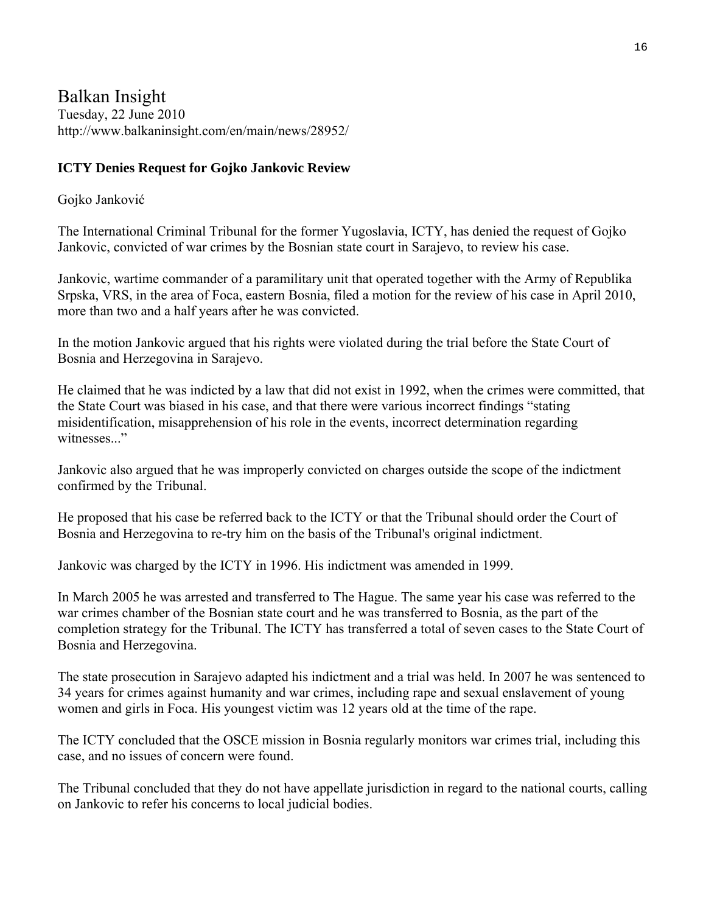## Balkan Insight Tuesday, 22 June 2010 http://www.balkaninsight.com/en/main/news/28952/

## **ICTY Denies Request for Gojko Jankovic Review**

## Gojko Janković

The International Criminal Tribunal for the former Yugoslavia, ICTY, has denied the request of Gojko Jankovic, convicted of war crimes by the Bosnian state court in Sarajevo, to review his case.

Jankovic, wartime commander of a paramilitary unit that operated together with the Army of Republika Srpska, VRS, in the area of Foca, eastern Bosnia, filed a motion for the review of his case in April 2010, more than two and a half years after he was convicted.

In the motion Jankovic argued that his rights were violated during the trial before the State Court of Bosnia and Herzegovina in Sarajevo.

He claimed that he was indicted by a law that did not exist in 1992, when the crimes were committed, that the State Court was biased in his case, and that there were various incorrect findings "stating misidentification, misapprehension of his role in the events, incorrect determination regarding witnesses..."

Jankovic also argued that he was improperly convicted on charges outside the scope of the indictment confirmed by the Tribunal.

He proposed that his case be referred back to the ICTY or that the Tribunal should order the Court of Bosnia and Herzegovina to re-try him on the basis of the Tribunal's original indictment.

Jankovic was charged by the ICTY in 1996. His indictment was amended in 1999.

In March 2005 he was arrested and transferred to The Hague. The same year his case was referred to the war crimes chamber of the Bosnian state court and he was transferred to Bosnia, as the part of the completion strategy for the Tribunal. The ICTY has transferred a total of seven cases to the State Court of Bosnia and Herzegovina.

The state prosecution in Sarajevo adapted his indictment and a trial was held. In 2007 he was sentenced to 34 years for crimes against humanity and war crimes, including rape and sexual enslavement of young women and girls in Foca. His youngest victim was 12 years old at the time of the rape.

The ICTY concluded that the OSCE mission in Bosnia regularly monitors war crimes trial, including this case, and no issues of concern were found.

The Tribunal concluded that they do not have appellate jurisdiction in regard to the national courts, calling on Jankovic to refer his concerns to local judicial bodies.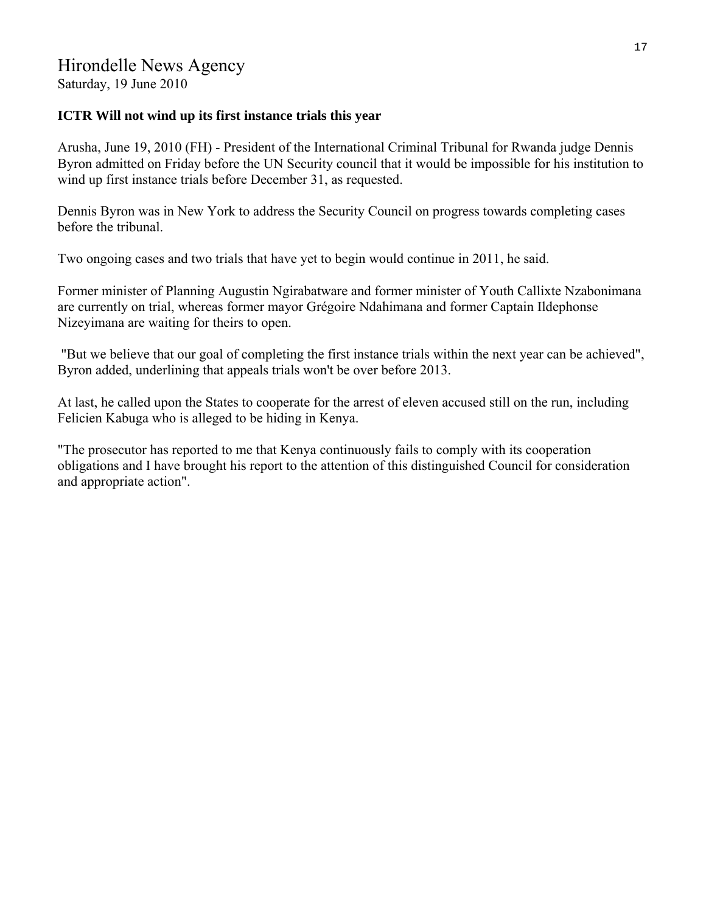## **ICTR Will not wind up its first instance trials this year**

Arusha, June 19, 2010 (FH) - President of the International Criminal Tribunal for Rwanda judge Dennis Byron admitted on Friday before the UN Security council that it would be impossible for his institution to wind up first instance trials before December 31, as requested.

Dennis Byron was in New York to address the Security Council on progress towards completing cases before the tribunal.

Two ongoing cases and two trials that have yet to begin would continue in 2011, he said.

Former minister of Planning Augustin Ngirabatware and former minister of Youth Callixte Nzabonimana are currently on trial, whereas former mayor Grégoire Ndahimana and former Captain Ildephonse Nizeyimana are waiting for theirs to open.

 "But we believe that our goal of completing the first instance trials within the next year can be achieved", Byron added, underlining that appeals trials won't be over before 2013.

At last, he called upon the States to cooperate for the arrest of eleven accused still on the run, including Felicien Kabuga who is alleged to be hiding in Kenya.

"The prosecutor has reported to me that Kenya continuously fails to comply with its cooperation obligations and I have brought his report to the attention of this distinguished Council for consideration and appropriate action".